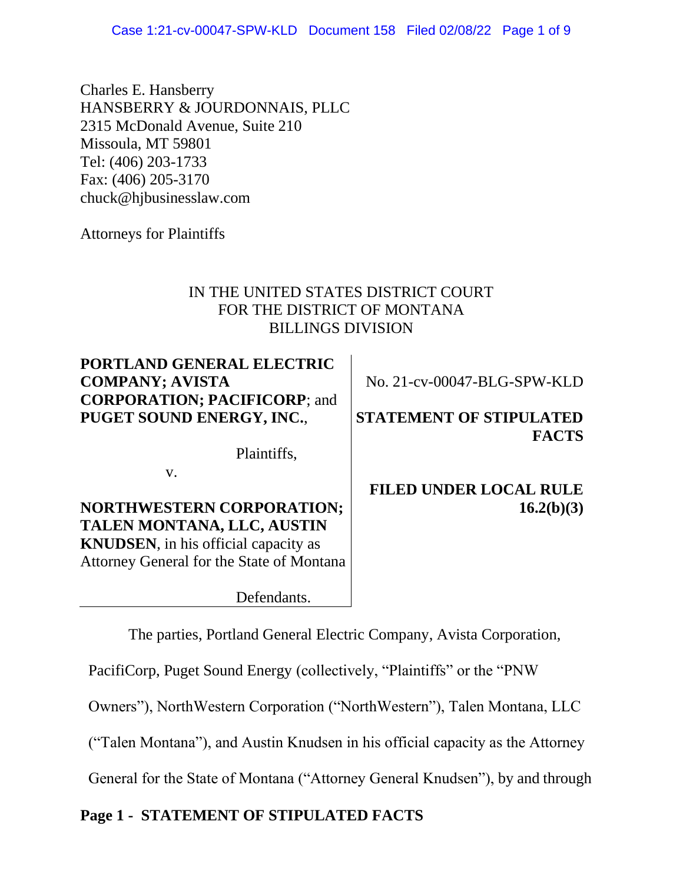Case 1:21-cv-00047-SPW-KLD Document 158 Filed 02/08/22 Page 1 of 9

Charles E. Hansberry HANSBERRY & JOURDONNAIS, PLLC 2315 McDonald Avenue, Suite 210 Missoula, MT 59801 Tel: (406) 203-1733 Fax: (406) 205-3170 chuck@hjbusinesslaw.com

Attorneys for Plaintiffs

# IN THE UNITED STATES DISTRICT COURT FOR THE DISTRICT OF MONTANA BILLINGS DIVISION

**PORTLAND GENERAL ELECTRIC COMPANY; AVISTA CORPORATION; PACIFICORP**; and **PUGET SOUND ENERGY, INC.**,

No. 21-cv-00047-BLG-SPW-KLD

# **STATEMENT OF STIPULATED FACTS**

Plaintiffs,

v.

**NORTHWESTERN CORPORATION; TALEN MONTANA, LLC, AUSTIN KNUDSEN**, in his official capacity as Attorney General for the State of Montana

Defendants.

**FILED UNDER LOCAL RULE 16.2(b)(3)**

The parties, Portland General Electric Company, Avista Corporation,

PacifiCorp, Puget Sound Energy (collectively, "Plaintiffs" or the "PNW

Owners"), NorthWestern Corporation ("NorthWestern"), Talen Montana, LLC

("Talen Montana"), and Austin Knudsen in his official capacity as the Attorney

General for the State of Montana ("Attorney General Knudsen"), by and through

# **Page 1 - STATEMENT OF STIPULATED FACTS**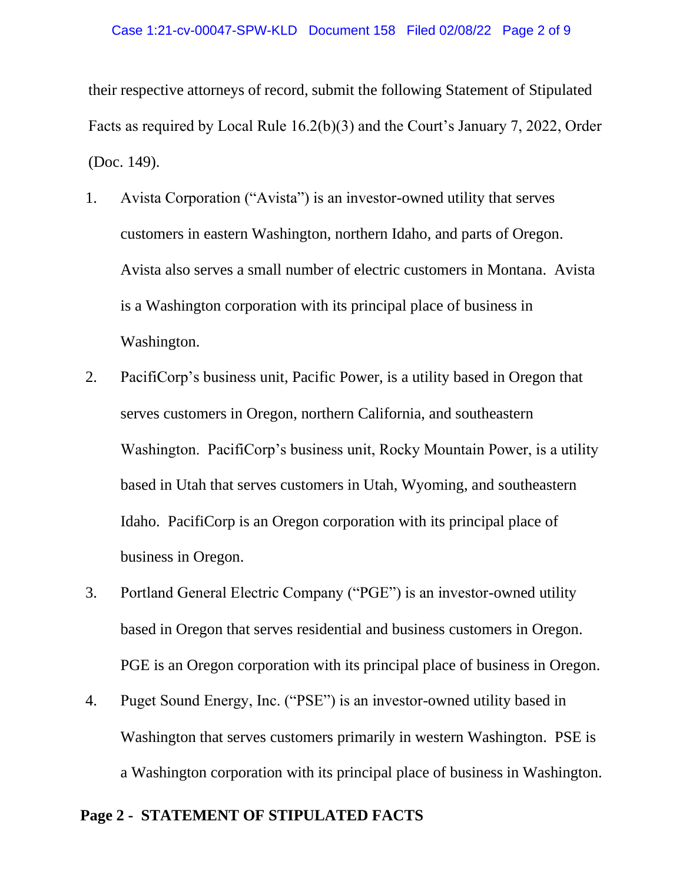their respective attorneys of record, submit the following Statement of Stipulated Facts as required by Local Rule 16.2(b)(3) and the Court's January 7, 2022, Order (Doc. 149).

- 1. Avista Corporation ("Avista") is an investor-owned utility that serves customers in eastern Washington, northern Idaho, and parts of Oregon. Avista also serves a small number of electric customers in Montana. Avista is a Washington corporation with its principal place of business in Washington.
- 2. PacifiCorp's business unit, Pacific Power, is a utility based in Oregon that serves customers in Oregon, northern California, and southeastern Washington. PacifiCorp's business unit, Rocky Mountain Power, is a utility based in Utah that serves customers in Utah, Wyoming, and southeastern Idaho. PacifiCorp is an Oregon corporation with its principal place of business in Oregon.
- 3. Portland General Electric Company ("PGE") is an investor-owned utility based in Oregon that serves residential and business customers in Oregon. PGE is an Oregon corporation with its principal place of business in Oregon.
- 4. Puget Sound Energy, Inc. ("PSE") is an investor-owned utility based in Washington that serves customers primarily in western Washington. PSE is a Washington corporation with its principal place of business in Washington.

## **Page 2 - STATEMENT OF STIPULATED FACTS**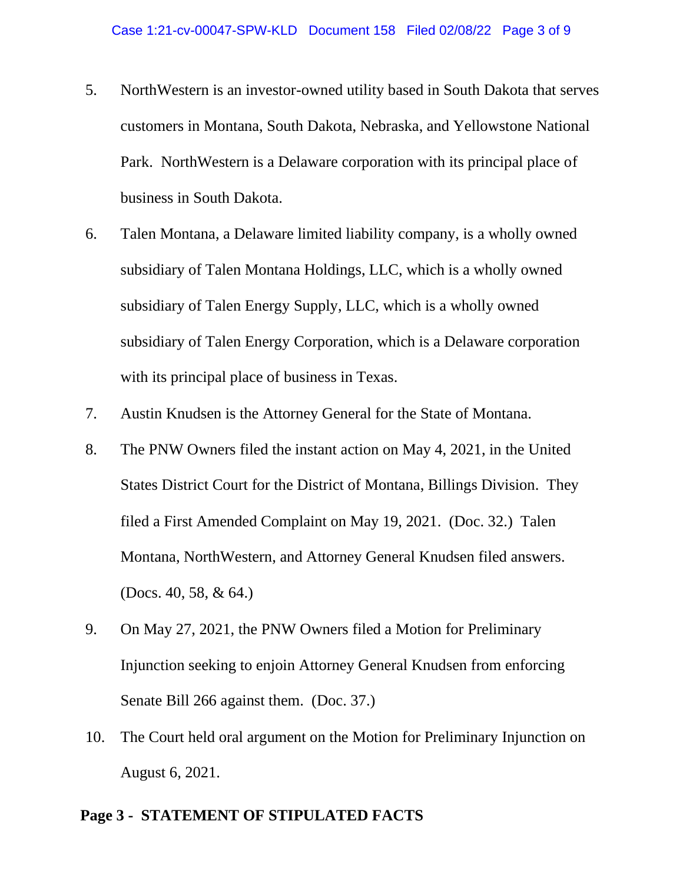- 5. NorthWestern is an investor-owned utility based in South Dakota that serves customers in Montana, South Dakota, Nebraska, and Yellowstone National Park. NorthWestern is a Delaware corporation with its principal place of business in South Dakota.
- 6. Talen Montana, a Delaware limited liability company, is a wholly owned subsidiary of Talen Montana Holdings, LLC, which is a wholly owned subsidiary of Talen Energy Supply, LLC, which is a wholly owned subsidiary of Talen Energy Corporation, which is a Delaware corporation with its principal place of business in Texas.
- 7. Austin Knudsen is the Attorney General for the State of Montana.
- 8. The PNW Owners filed the instant action on May 4, 2021, in the United States District Court for the District of Montana, Billings Division. They filed a First Amended Complaint on May 19, 2021. (Doc. 32.) Talen Montana, NorthWestern, and Attorney General Knudsen filed answers. (Docs. 40, 58, & 64.)
- 9. On May 27, 2021, the PNW Owners filed a Motion for Preliminary Injunction seeking to enjoin Attorney General Knudsen from enforcing Senate Bill 266 against them. (Doc. 37.)
- 10. The Court held oral argument on the Motion for Preliminary Injunction on August 6, 2021.

## **Page 3 - STATEMENT OF STIPULATED FACTS**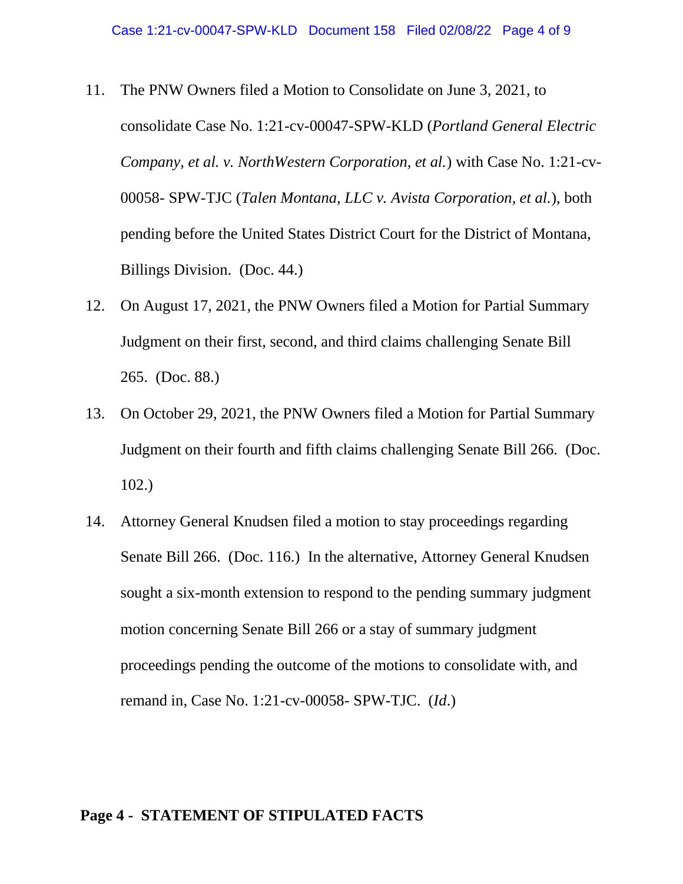- 11. The PNW Owners filed a Motion to Consolidate on June 3, 2021, to consolidate Case No. 1:21-cv-00047-SPW-KLD (*Portland General Electric Company, et al. v. NorthWestern Corporation, et al.*) with Case No. 1:21-cv-00058- SPW-TJC (*Talen Montana, LLC v. Avista Corporation, et al.*), both pending before the United States District Court for the District of Montana, Billings Division. (Doc. 44.)
- 12. On August 17, 2021, the PNW Owners filed a Motion for Partial Summary Judgment on their first, second, and third claims challenging Senate Bill 265. (Doc. 88.)
- 13. On October 29, 2021, the PNW Owners filed a Motion for Partial Summary Judgment on their fourth and fifth claims challenging Senate Bill 266. (Doc. 102.)
- 14. Attorney General Knudsen filed a motion to stay proceedings regarding Senate Bill 266. (Doc. 116.) In the alternative, Attorney General Knudsen sought a six-month extension to respond to the pending summary judgment motion concerning Senate Bill 266 or a stay of summary judgment proceedings pending the outcome of the motions to consolidate with, and remand in, Case No. 1:21-cv-00058- SPW-TJC. (*Id*.)

### **Page 4 - STATEMENT OF STIPULATED FACTS**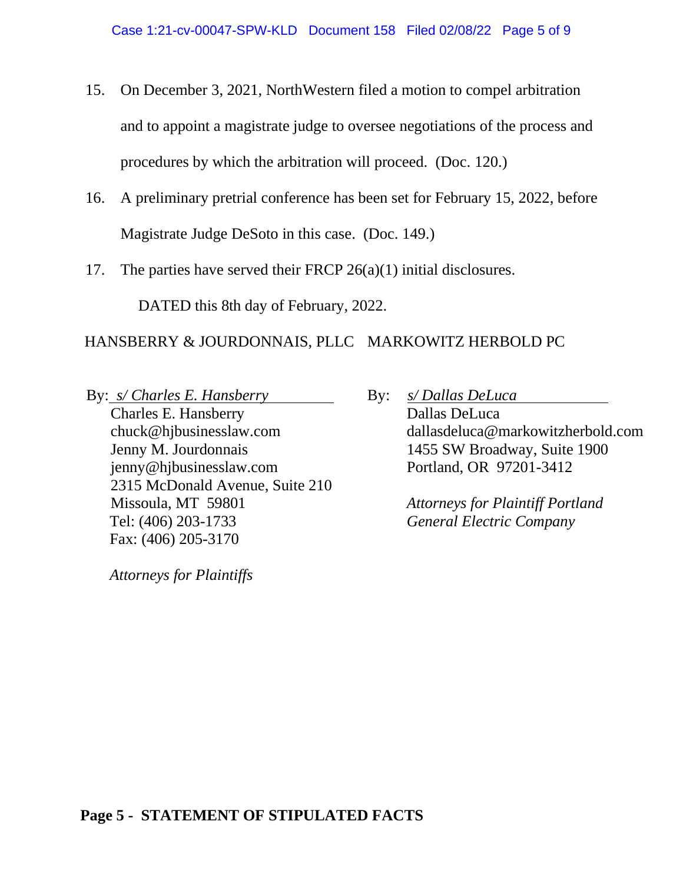- 15. On December 3, 2021, NorthWestern filed a motion to compel arbitration and to appoint a magistrate judge to oversee negotiations of the process and procedures by which the arbitration will proceed. (Doc. 120.)
- 16. A preliminary pretrial conference has been set for February 15, 2022, before Magistrate Judge DeSoto in this case. (Doc. 149.)
- 17. The parties have served their FRCP 26(a)(1) initial disclosures.

DATED this 8th day of February, 2022.

# HANSBERRY & JOURDONNAIS, PLLC MARKOWITZ HERBOLD PC

By: *s/ Charles E. Hansberry*

Charles E. Hansberry chuck@hjbusinesslaw.com Jenny M. Jourdonnais jenny@hjbusinesslaw.com 2315 McDonald Avenue, Suite 210 Missoula, MT 59801 Tel: (406) 203-1733 Fax: (406) 205-3170

*Attorneys for Plaintiffs*

By: *s/ Dallas DeLuca* Dallas DeLuca dallasdeluca@markowitzherbold.com 1455 SW Broadway, Suite 1900 Portland, OR 97201-3412

> *Attorneys for Plaintiff Portland General Electric Company*

# **Page 5 - STATEMENT OF STIPULATED FACTS**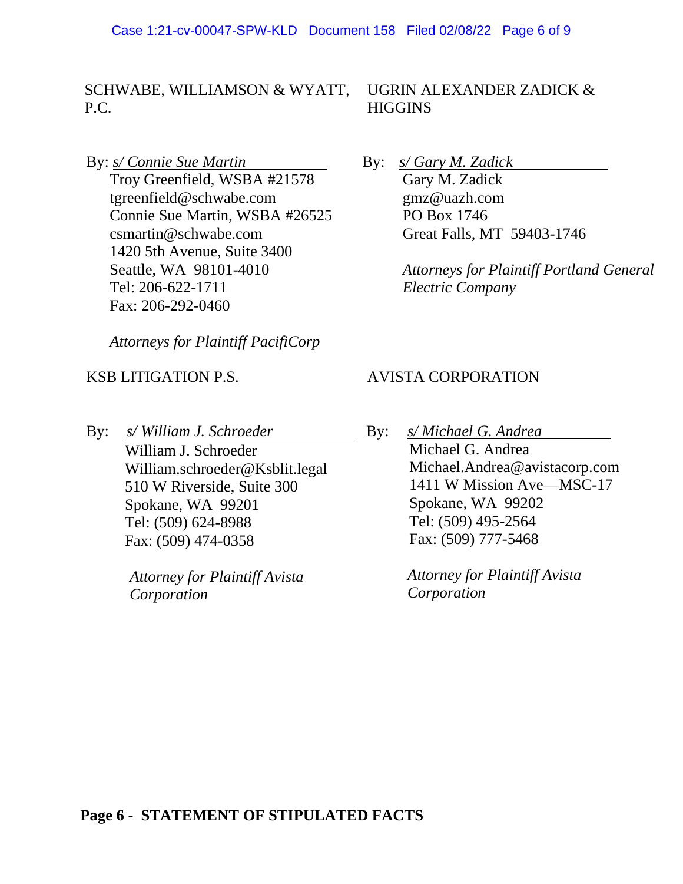SCHWABE, WILLIAMSON & WYATT, P.C.

By: *s/ Connie Sue Martin*

Troy Greenfield, WSBA #21578 tgreenfield@schwabe.com Connie Sue Martin, WSBA #26525 csmartin@schwabe.com 1420 5th Avenue, Suite 3400 Seattle, WA 98101-4010 Tel: 206-622-1711 Fax: 206-292-0460

*Attorneys for Plaintiff PacifiCorp*

## KSB LITIGATION P.S.

By: *s/ William J. Schroeder* William J. Schroeder William.schroeder@Ksblit.legal 510 W Riverside, Suite 300 Spokane, WA 99201 Tel: (509) 624-8988 Fax: (509) 474-0358

> *Attorney for Plaintiff Avista Corporation*

UGRIN ALEXANDER ZADICK & **HIGGINS** 

By: *s/ Gary M. Zadick*

Gary M. Zadick gmz@uazh.com PO Box 1746 Great Falls, MT 59403-1746

*Attorneys for Plaintiff Portland General Electric Company*

## AVISTA CORPORATION

By: *s/ Michael G. Andrea* Michael G. Andrea Michael.Andrea@avistacorp.com 1411 W Mission Ave—MSC-17 Spokane, WA 99202 Tel: (509) 495-2564 Fax: (509) 777-5468

> *Attorney for Plaintiff Avista Corporation*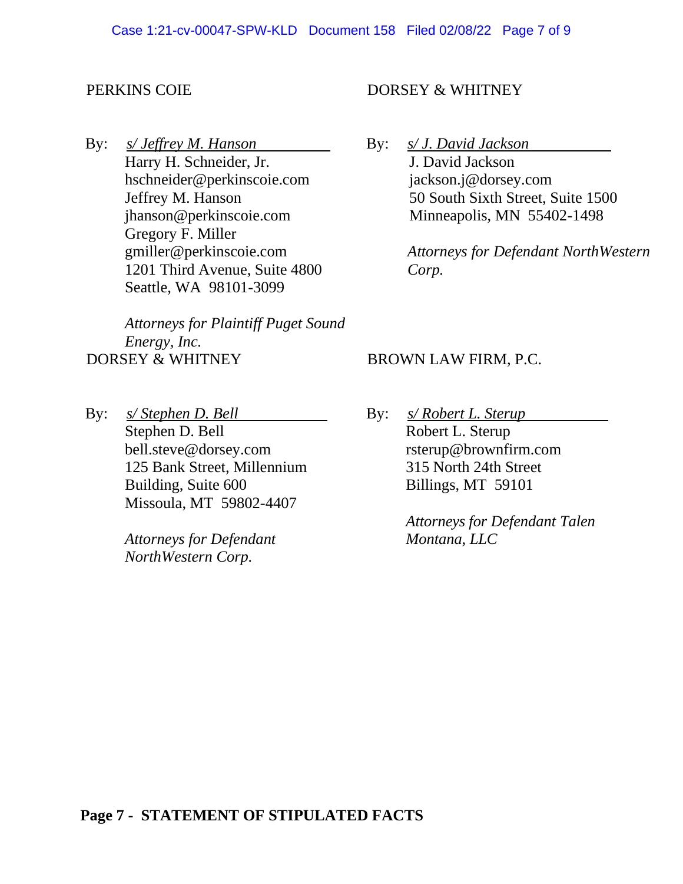## PERKINS COIE

By: *s/ Jeffrey M. Hanson* Harry H. Schneider, Jr. hschneider@perkinscoie.com Jeffrey M. Hanson jhanson@perkinscoie.com Gregory F. Miller gmiller@perkinscoie.com 1201 Third Avenue, Suite 4800 Seattle, WA 98101-3099

*Attorneys for Plaintiff Puget Sound Energy, Inc.*  DORSEY & WHITNEY

By: *s/ Stephen D. Bell* Stephen D. Bell bell.steve@dorsey.com 125 Bank Street, Millennium Building, Suite 600 Missoula, MT 59802-4407

> *Attorneys for Defendant NorthWestern Corp.*

## DORSEY & WHITNEY

By: *s/ J. David Jackson* J. David Jackson jackson.j@dorsey.com 50 South Sixth Street, Suite 1500 Minneapolis, MN 55402-1498

> *Attorneys for Defendant NorthWestern Corp.*

#### BROWN LAW FIRM, P.C.

By: *s/ Robert L. Sterup* Robert L. Sterup rsterup@brownfirm.com 315 North 24th Street Billings, MT 59101

> *Attorneys for Defendant Talen Montana, LLC*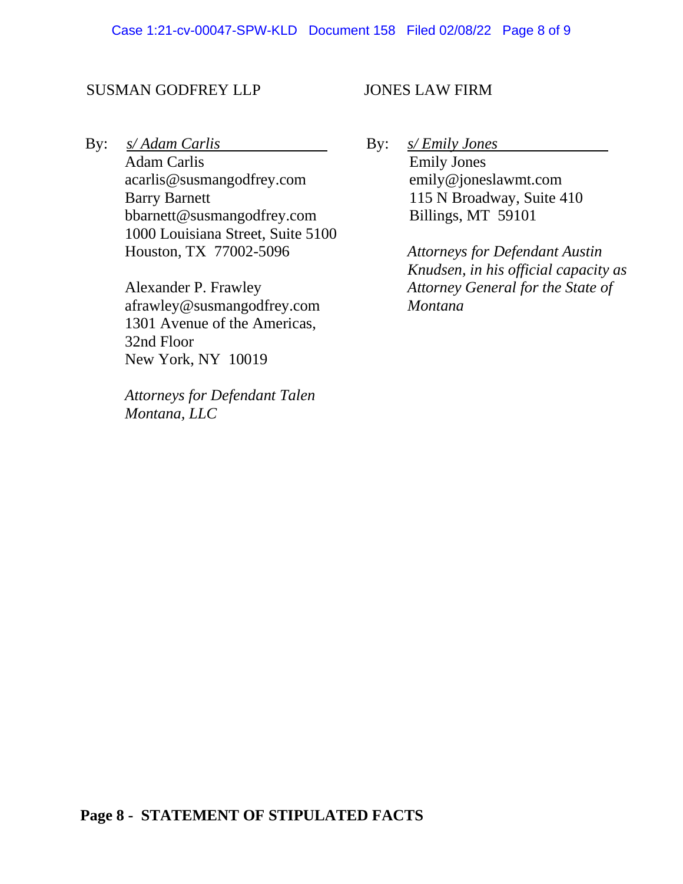#### SUSMAN GODFREY LLP

By: *s/ Adam Carlis*

Adam Carlis acarlis@susmangodfrey.com Barry Barnett bbarnett@susmangodfrey.com 1000 Louisiana Street, Suite 5100 Houston, TX 77002-5096

Alexander P. Frawley afrawley@susmangodfrey.com 1301 Avenue of the Americas, 32nd Floor New York, NY 10019

*Attorneys for Defendant Talen Montana, LLC*

### JONES LAW FIRM

By: *s/ Emily Jones* Emily Jones emily@joneslawmt.com 115 N Broadway, Suite 410 Billings, MT 59101

> *Attorneys for Defendant Austin Knudsen, in his official capacity as Attorney General for the State of Montana*

## **Page 8 - STATEMENT OF STIPULATED FACTS**